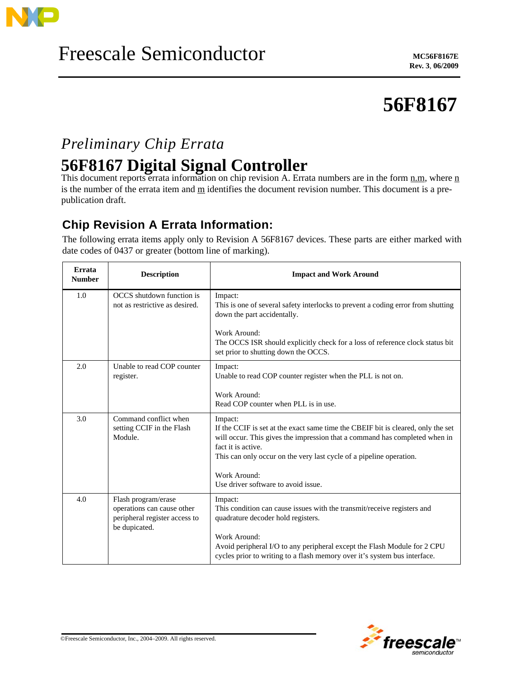

# **56F8167**

## *Preliminary Chip Errata*

## **56F8167 Digital Signal Controller**

This document reports errata information on chip revision A. Errata numbers are in the form n.m, where n is the number of the errata item and  $\underline{m}$  identifies the document revision number. This document is a prepublication draft.

### **Chip Revision A Errata Information:**

The following errata items apply only to Revision A 56F8167 devices. These parts are either marked with date codes of 0437 or greater (bottom line of marking).

| Errata<br><b>Number</b> | <b>Description</b>                                                                                  | <b>Impact and Work Around</b>                                                                                                                                                                                                                                          |
|-------------------------|-----------------------------------------------------------------------------------------------------|------------------------------------------------------------------------------------------------------------------------------------------------------------------------------------------------------------------------------------------------------------------------|
| 1.0                     | OCCS shutdown function is<br>not as restrictive as desired.                                         | Impact:<br>This is one of several safety interlocks to prevent a coding error from shutting<br>down the part accidentally.                                                                                                                                             |
|                         |                                                                                                     | Work Around:<br>The OCCS ISR should explicitly check for a loss of reference clock status bit<br>set prior to shutting down the OCCS.                                                                                                                                  |
| 2.0                     | Unable to read COP counter<br>register.                                                             | Impact:<br>Unable to read COP counter register when the PLL is not on.                                                                                                                                                                                                 |
|                         |                                                                                                     | Work Around:<br>Read COP counter when PLL is in use.                                                                                                                                                                                                                   |
| 3.0                     | Command conflict when<br>setting CCIF in the Flash<br>Module.                                       | Impact:<br>If the CCIF is set at the exact same time the CBEIF bit is cleared, only the set<br>will occur. This gives the impression that a command has completed when in<br>fact it is active.<br>This can only occur on the very last cycle of a pipeline operation. |
|                         |                                                                                                     | Work Around:<br>Use driver software to avoid issue.                                                                                                                                                                                                                    |
| 4.0                     | Flash program/erase<br>operations can cause other<br>peripheral register access to<br>be dupicated. | Impact:<br>This condition can cause issues with the transmit/receive registers and<br>quadrature decoder hold registers.                                                                                                                                               |
|                         |                                                                                                     | Work Around:<br>Avoid peripheral I/O to any peripheral except the Flash Module for 2 CPU<br>cycles prior to writing to a flash memory over it's system bus interface.                                                                                                  |

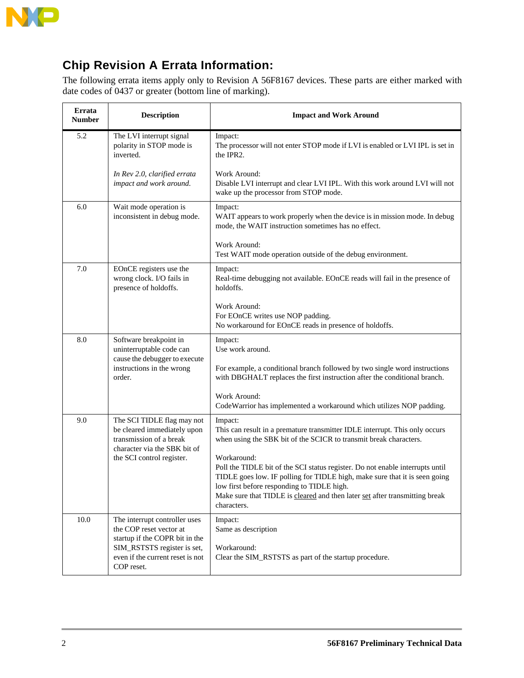

### **Chip Revision A Errata Information:**

The following errata items apply only to Revision A 56F8167 devices. These parts are either marked with date codes of 0437 or greater (bottom line of marking).

| Errata<br>Number | <b>Description</b>                                                                                                        | <b>Impact and Work Around</b>                                                                                                                                                                                                                                                                                          |
|------------------|---------------------------------------------------------------------------------------------------------------------------|------------------------------------------------------------------------------------------------------------------------------------------------------------------------------------------------------------------------------------------------------------------------------------------------------------------------|
| 5.2              | The LVI interrupt signal<br>polarity in STOP mode is<br>inverted.                                                         | Impact:<br>The processor will not enter STOP mode if LVI is enabled or LVI IPL is set in<br>the IPR2.                                                                                                                                                                                                                  |
|                  | In Rev 2.0, clarified errata<br>impact and work around.                                                                   | Work Around:<br>Disable LVI interrupt and clear LVI IPL. With this work around LVI will not<br>wake up the processor from STOP mode.                                                                                                                                                                                   |
| 6.0              | Wait mode operation is<br>inconsistent in debug mode.                                                                     | Impact:<br>WAIT appears to work properly when the device is in mission mode. In debug<br>mode, the WAIT instruction sometimes has no effect.                                                                                                                                                                           |
|                  |                                                                                                                           | Work Around:<br>Test WAIT mode operation outside of the debug environment.                                                                                                                                                                                                                                             |
| 7.0              | EOnCE registers use the<br>wrong clock. I/O fails in<br>presence of holdoffs.                                             | Impact:<br>Real-time debugging not available. EOnCE reads will fail in the presence of<br>holdoffs.                                                                                                                                                                                                                    |
|                  |                                                                                                                           | Work Around:<br>For EOnCE writes use NOP padding.<br>No workaround for EOnCE reads in presence of holdoffs.                                                                                                                                                                                                            |
| 8.0              | Software breakpoint in<br>uninterruptable code can<br>cause the debugger to execute                                       | Impact:<br>Use work around.                                                                                                                                                                                                                                                                                            |
|                  | instructions in the wrong<br>order.                                                                                       | For example, a conditional branch followed by two single word instructions<br>with DBGHALT replaces the first instruction after the conditional branch.                                                                                                                                                                |
|                  |                                                                                                                           | Work Around:<br>Code Warrior has implemented a workaround which utilizes NOP padding.                                                                                                                                                                                                                                  |
| 9.0              | The SCI TIDLE flag may not<br>be cleared immediately upon<br>transmission of a break<br>character via the SBK bit of      | Impact:<br>This can result in a premature transmitter IDLE interrupt. This only occurs<br>when using the SBK bit of the SCICR to transmit break characters.                                                                                                                                                            |
|                  | the SCI control register.                                                                                                 | Workaround:<br>Poll the TIDLE bit of the SCI status register. Do not enable interrupts until<br>TIDLE goes low. IF polling for TIDLE high, make sure that it is seen going<br>low first before responding to TIDLE high.<br>Make sure that TIDLE is cleared and then later set after transmitting break<br>characters. |
| 10.0             | The interrupt controller uses<br>the COP reset vector at<br>startup if the COPR bit in the<br>SIM_RSTSTS register is set, | Impact:<br>Same as description<br>Workaround:                                                                                                                                                                                                                                                                          |
|                  | even if the current reset is not<br>COP reset.                                                                            | Clear the SIM_RSTSTS as part of the startup procedure.                                                                                                                                                                                                                                                                 |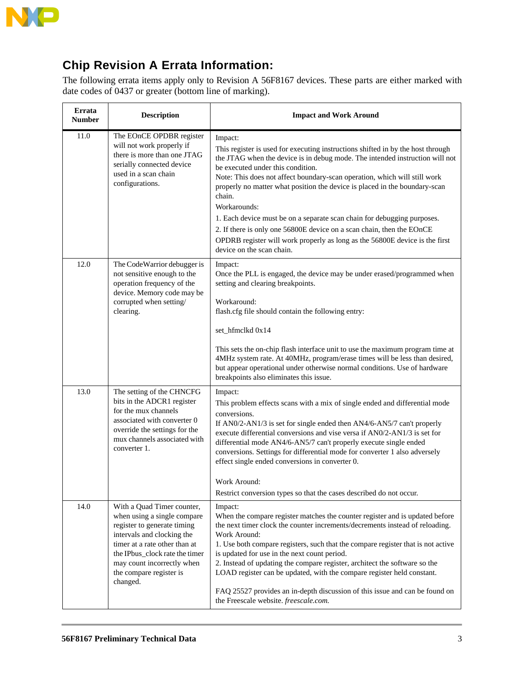

 $\blacksquare$ 

### **Chip Revision A Errata Information:**

The following errata items apply only to Revision A 56F8167 devices. These parts are either marked with date codes of 0437 or greater (bottom line of marking).

| Errata<br><b>Number</b> | <b>Description</b>                                                                                                                                                                                                                                             | <b>Impact and Work Around</b>                                                                                                                                                                                                                                                                                                                                                                                                                                                                                                                                                                                                                                        |
|-------------------------|----------------------------------------------------------------------------------------------------------------------------------------------------------------------------------------------------------------------------------------------------------------|----------------------------------------------------------------------------------------------------------------------------------------------------------------------------------------------------------------------------------------------------------------------------------------------------------------------------------------------------------------------------------------------------------------------------------------------------------------------------------------------------------------------------------------------------------------------------------------------------------------------------------------------------------------------|
| 11.0                    | The EOnCE OPDBR register<br>will not work properly if<br>there is more than one JTAG<br>serially connected device<br>used in a scan chain<br>configurations.                                                                                                   | Impact:<br>This register is used for executing instructions shifted in by the host through<br>the JTAG when the device is in debug mode. The intended instruction will not<br>be executed under this condition.<br>Note: This does not affect boundary-scan operation, which will still work<br>properly no matter what position the device is placed in the boundary-scan<br>chain.<br>Workarounds:<br>1. Each device must be on a separate scan chain for debugging purposes.<br>2. If there is only one 56800E device on a scan chain, then the EOnCE<br>OPDRB register will work properly as long as the 56800E device is the first<br>device on the scan chain. |
| 12.0                    | The CodeWarrior debugger is<br>not sensitive enough to the<br>operation frequency of the<br>device. Memory code may be<br>corrupted when setting/<br>clearing.                                                                                                 | Impact:<br>Once the PLL is engaged, the device may be under erased/programmed when<br>setting and clearing breakpoints.<br>Workaround:<br>flash.cfg file should contain the following entry:<br>set_hfmclkd 0x14<br>This sets the on-chip flash interface unit to use the maximum program time at<br>4MHz system rate. At 40MHz, program/erase times will be less than desired,<br>but appear operational under otherwise normal conditions. Use of hardware<br>breakpoints also eliminates this issue.                                                                                                                                                              |
| 13.0                    | The setting of the CHNCFG<br>bits in the ADCR1 register<br>for the mux channels<br>associated with converter 0<br>override the settings for the<br>mux channels associated with<br>converter 1.                                                                | Impact:<br>This problem effects scans with a mix of single ended and differential mode<br>conversions.<br>If AN0/2-AN1/3 is set for single ended then AN4/6-AN5/7 can't properly<br>execute differential conversions and vise versa if AN0/2-AN1/3 is set for<br>differential mode AN4/6-AN5/7 can't properly execute single ended<br>conversions. Settings for differential mode for converter 1 also adversely<br>effect single ended conversions in converter 0.<br>Work Around:<br>Restrict conversion types so that the cases described do not occur.                                                                                                           |
| 14.0                    | With a Quad Timer counter,<br>when using a single compare<br>register to generate timing<br>intervals and clocking the<br>timer at a rate other than at<br>the IPbus_clock rate the timer<br>may count incorrectly when<br>the compare register is<br>changed. | Impact:<br>When the compare register matches the counter register and is updated before<br>the next timer clock the counter increments/decrements instead of reloading.<br>Work Around:<br>1. Use both compare registers, such that the compare register that is not active<br>is updated for use in the next count period.<br>2. Instead of updating the compare register, architect the software so the<br>LOAD register can be updated, with the compare register held constant.<br>FAQ 25527 provides an in-depth discussion of this issue and can be found on<br>the Freescale website. freescale.com.                                                          |

 $\overline{\phantom{a}}$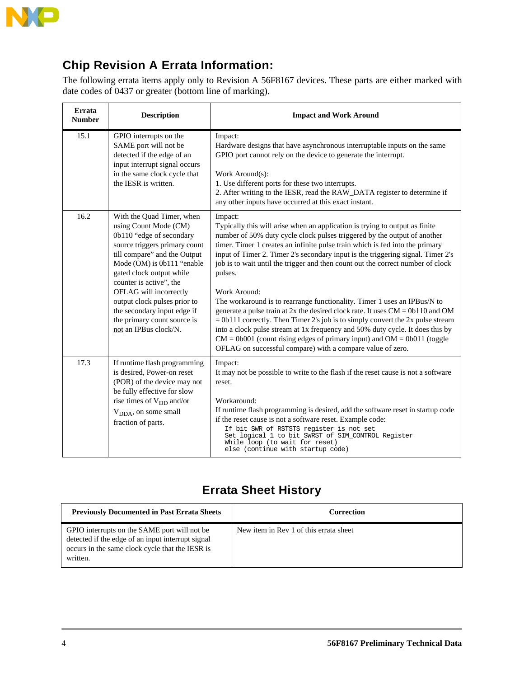

### **Chip Revision A Errata Information:**

The following errata items apply only to Revision A 56F8167 devices. These parts are either marked with date codes of 0437 or greater (bottom line of marking).

| Errata<br><b>Number</b> | <b>Description</b>                                                                                                                                                                                                                                                                                                                                                                    | <b>Impact and Work Around</b>                                                                                                                                                                                                                                                                                                                                                                                                                                                                                                                                                                                                                                                                                                                                                                                                                                                                                                           |
|-------------------------|---------------------------------------------------------------------------------------------------------------------------------------------------------------------------------------------------------------------------------------------------------------------------------------------------------------------------------------------------------------------------------------|-----------------------------------------------------------------------------------------------------------------------------------------------------------------------------------------------------------------------------------------------------------------------------------------------------------------------------------------------------------------------------------------------------------------------------------------------------------------------------------------------------------------------------------------------------------------------------------------------------------------------------------------------------------------------------------------------------------------------------------------------------------------------------------------------------------------------------------------------------------------------------------------------------------------------------------------|
| 15.1                    | GPIO interrupts on the<br>SAME port will not be<br>detected if the edge of an<br>input interrupt signal occurs<br>in the same clock cycle that<br>the IESR is written.                                                                                                                                                                                                                | Impact:<br>Hardware designs that have asynchronous interruptable inputs on the same<br>GPIO port cannot rely on the device to generate the interrupt.<br>Work Around(s):<br>1. Use different ports for these two interrupts.<br>2. After writing to the IESR, read the RAW_DATA register to determine if<br>any other inputs have occurred at this exact instant.                                                                                                                                                                                                                                                                                                                                                                                                                                                                                                                                                                       |
| 16.2                    | With the Quad Timer, when<br>using Count Mode (CM)<br>0b110 "edge of secondary<br>source triggers primary count<br>till compare" and the Output<br>Mode (OM) is 0b111 "enable<br>gated clock output while<br>counter is active", the<br>OFLAG will incorrectly<br>output clock pulses prior to<br>the secondary input edge if<br>the primary count source is<br>not an IPBus clock/N. | Impact:<br>Typically this will arise when an application is trying to output as finite<br>number of 50% duty cycle clock pulses triggered by the output of another<br>timer. Timer 1 creates an infinite pulse train which is fed into the primary<br>input of Timer 2. Timer 2's secondary input is the triggering signal. Timer 2's<br>job is to wait until the trigger and then count out the correct number of clock<br>pulses.<br>Work Around:<br>The workaround is to rearrange functionality. Timer 1 uses an IPBus/N to<br>generate a pulse train at $2x$ the desired clock rate. It uses $CM = 0b110$ and OM<br>$= 0b111$ correctly. Then Timer 2's job is to simply convert the 2x pulse stream<br>into a clock pulse stream at 1x frequency and 50% duty cycle. It does this by<br>$CM = 0b001$ (count rising edges of primary input) and $OM = 0b011$ (toggle<br>OFLAG on successful compare) with a compare value of zero. |
| 17.3                    | If runtime flash programming<br>is desired, Power-on reset<br>(POR) of the device may not<br>be fully effective for slow<br>rise times of $V_{DD}$ and/or<br>V <sub>DDA</sub> , on some small<br>fraction of parts.                                                                                                                                                                   | Impact:<br>It may not be possible to write to the flash if the reset cause is not a software<br>reset.<br>Workaround:<br>If runtime flash programming is desired, add the software reset in startup code<br>if the reset cause is not a software reset. Example code:<br>If bit SWR of RSTSTS register is not set<br>Set logical 1 to bit SWRST of SIM_CONTROL Register<br>While loop (to wait for reset)<br>else (continue with startup code)                                                                                                                                                                                                                                                                                                                                                                                                                                                                                          |

### **Errata Sheet History**

| <b>Previously Documented in Past Errata Sheets</b>                                                                                                               | Correction                             |
|------------------------------------------------------------------------------------------------------------------------------------------------------------------|----------------------------------------|
| GPIO interrupts on the SAME port will not be<br>detected if the edge of an input interrupt signal<br>occurs in the same clock cycle that the IESR is<br>written. | New item in Rev 1 of this errata sheet |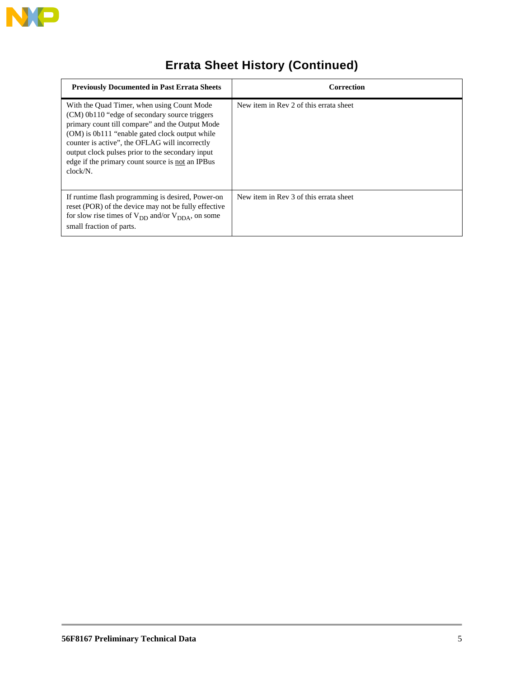

## **Errata Sheet History (Continued)**

| <b>Previously Documented in Past Errata Sheets</b>                                                                                                                                                                                                                                                                                                                     | Correction                             |
|------------------------------------------------------------------------------------------------------------------------------------------------------------------------------------------------------------------------------------------------------------------------------------------------------------------------------------------------------------------------|----------------------------------------|
| With the Quad Timer, when using Count Mode<br>(CM) 0b110 "edge of secondary source triggers<br>primary count till compare" and the Output Mode<br>(OM) is 0b111 "enable gated clock output while<br>counter is active", the OFLAG will incorrectly<br>output clock pulses prior to the secondary input<br>edge if the primary count source is not an IPBus<br>clock/N. | New item in Rev 2 of this errata sheet |
| If runtime flash programming is desired, Power-on<br>reset (POR) of the device may not be fully effective<br>for slow rise times of $V_{DD}$ and/or $V_{DDA}$ , on some<br>small fraction of parts.                                                                                                                                                                    | New item in Rev 3 of this errata sheet |